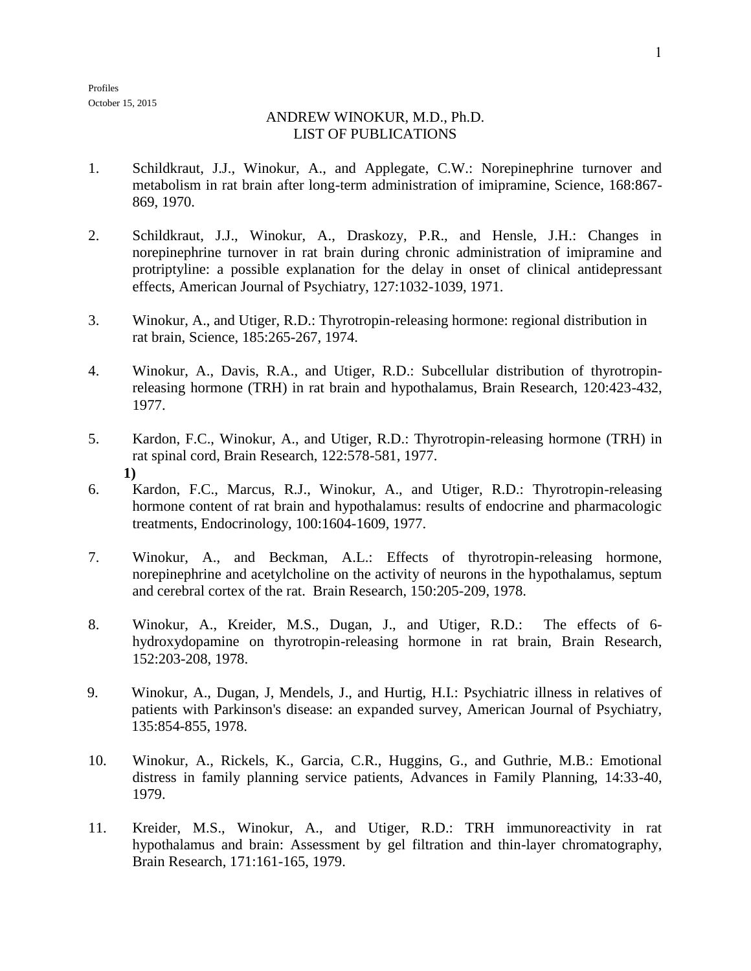Profiles October 15, 2015

## ANDREW WINOKUR, M.D., Ph.D. LIST OF PUBLICATIONS

- 1. Schildkraut, J.J., Winokur, A., and Applegate, C.W.: Norepinephrine turnover and metabolism in rat brain after long-term administration of imipramine, Science, 168:867- 869, 1970.
- 2. Schildkraut, J.J., Winokur, A., Draskozy, P.R., and Hensle, J.H.: Changes in norepinephrine turnover in rat brain during chronic administration of imipramine and protriptyline: a possible explanation for the delay in onset of clinical antidepressant effects, American Journal of Psychiatry, 127:1032-1039, 1971.
- 3. Winokur, A., and Utiger, R.D.: Thyrotropin-releasing hormone: regional distribution in rat brain, Science, 185:265-267, 1974.
- 4. Winokur, A., Davis, R.A., and Utiger, R.D.: Subcellular distribution of thyrotropinreleasing hormone (TRH) in rat brain and hypothalamus, Brain Research, 120:423-432, 1977.
- 5. Kardon, F.C., Winokur, A., and Utiger, R.D.: Thyrotropin-releasing hormone (TRH) in rat spinal cord, Brain Research, 122:578-581, 1977. **1)**
- 6. Kardon, F.C., Marcus, R.J., Winokur, A., and Utiger, R.D.: Thyrotropin-releasing hormone content of rat brain and hypothalamus: results of endocrine and pharmacologic treatments, Endocrinology, 100:1604-1609, 1977.
- 7. Winokur, A., and Beckman, A.L.: Effects of thyrotropin-releasing hormone, norepinephrine and acetylcholine on the activity of neurons in the hypothalamus, septum and cerebral cortex of the rat. Brain Research, 150:205-209, 1978.
- 8. Winokur, A., Kreider, M.S., Dugan, J., and Utiger, R.D.: The effects of 6 hydroxydopamine on thyrotropin-releasing hormone in rat brain, Brain Research, 152:203-208, 1978.
- 9. Winokur, A., Dugan, J, Mendels, J., and Hurtig, H.I.: Psychiatric illness in relatives of patients with Parkinson's disease: an expanded survey, American Journal of Psychiatry, 135:854-855, 1978.
- 10. Winokur, A., Rickels, K., Garcia, C.R., Huggins, G., and Guthrie, M.B.: Emotional distress in family planning service patients, Advances in Family Planning, 14:33-40, 1979.
- 11. Kreider, M.S., Winokur, A., and Utiger, R.D.: TRH immunoreactivity in rat hypothalamus and brain: Assessment by gel filtration and thin-layer chromatography, Brain Research, 171:161-165, 1979.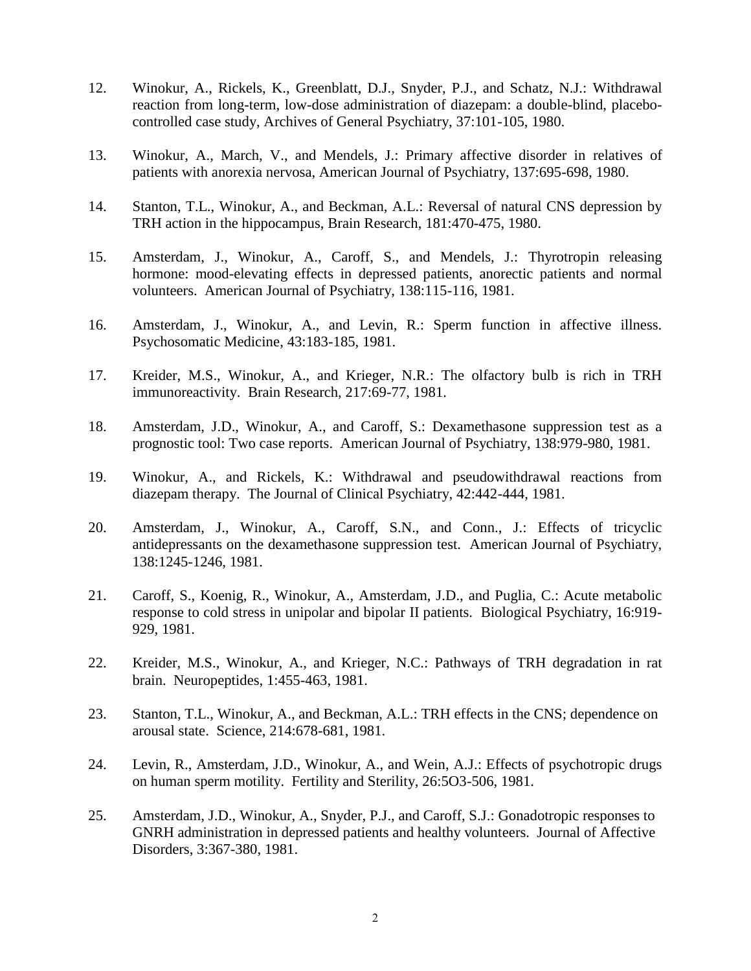- 12. Winokur, A., Rickels, K., Greenblatt, D.J., Snyder, P.J., and Schatz, N.J.: Withdrawal reaction from long-term, low-dose administration of diazepam: a double-blind, placebocontrolled case study, Archives of General Psychiatry, 37:101-105, 1980.
- 13. Winokur, A., March, V., and Mendels, J.: Primary affective disorder in relatives of patients with anorexia nervosa, American Journal of Psychiatry, 137:695-698, 1980.
- 14. Stanton, T.L., Winokur, A., and Beckman, A.L.: Reversal of natural CNS depression by TRH action in the hippocampus, Brain Research, 181:470-475, 1980.
- 15. Amsterdam, J., Winokur, A., Caroff, S., and Mendels, J.: Thyrotropin releasing hormone: mood-elevating effects in depressed patients, anorectic patients and normal volunteers. American Journal of Psychiatry, 138:115-116, 1981.
- 16. Amsterdam, J., Winokur, A., and Levin, R.: Sperm function in affective illness. Psychosomatic Medicine, 43:183-185, 1981.
- 17. Kreider, M.S., Winokur, A., and Krieger, N.R.: The olfactory bulb is rich in TRH immunoreactivity. Brain Research, 217:69-77, 1981.
- 18. Amsterdam, J.D., Winokur, A., and Caroff, S.: Dexamethasone suppression test as a prognostic tool: Two case reports. American Journal of Psychiatry, 138:979-980, 1981.
- 19. Winokur, A., and Rickels, K.: Withdrawal and pseudowithdrawal reactions from diazepam therapy. The Journal of Clinical Psychiatry, 42:442-444, 1981.
- 20. Amsterdam, J., Winokur, A., Caroff, S.N., and Conn., J.: Effects of tricyclic antidepressants on the dexamethasone suppression test. American Journal of Psychiatry, 138:1245-1246, 1981.
- 21. Caroff, S., Koenig, R., Winokur, A., Amsterdam, J.D., and Puglia, C.: Acute metabolic response to cold stress in unipolar and bipolar II patients. Biological Psychiatry, 16:919- 929, 1981.
- 22. Kreider, M.S., Winokur, A., and Krieger, N.C.: Pathways of TRH degradation in rat brain. Neuropeptides, 1:455-463, 1981.
- 23. Stanton, T.L., Winokur, A., and Beckman, A.L.: TRH effects in the CNS; dependence on arousal state. Science, 214:678-681, 1981.
- 24. Levin, R., Amsterdam, J.D., Winokur, A., and Wein, A.J.: Effects of psychotropic drugs on human sperm motility. Fertility and Sterility, 26:5O3-506, 1981.
- 25. Amsterdam, J.D., Winokur, A., Snyder, P.J., and Caroff, S.J.: Gonadotropic responses to GNRH administration in depressed patients and healthy volunteers. Journal of Affective Disorders, 3:367-380, 1981.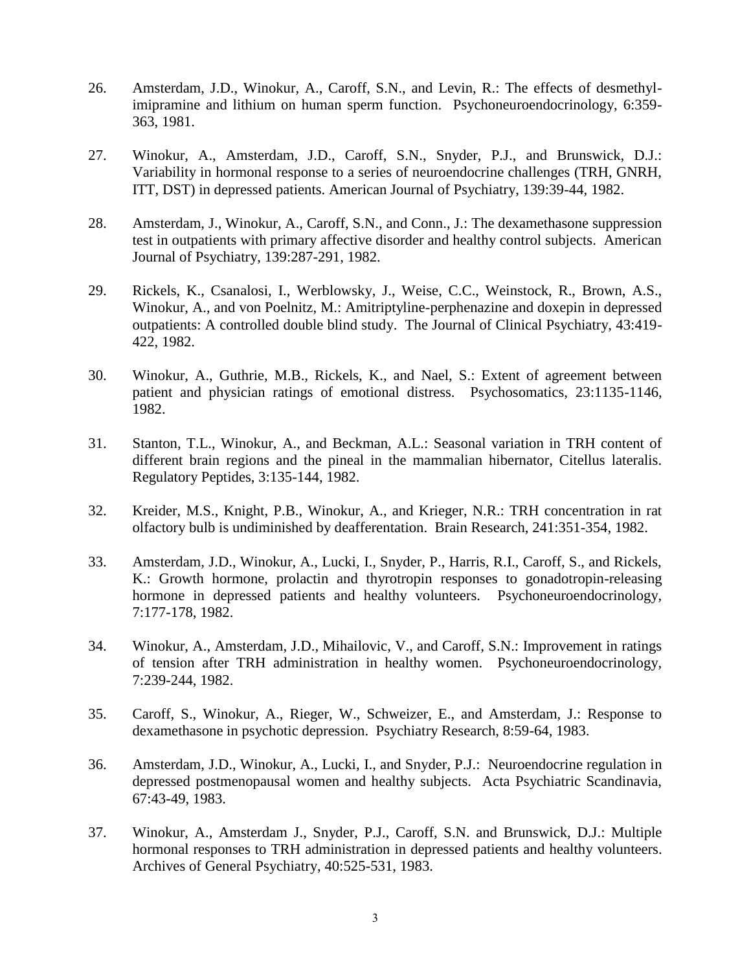- 26. Amsterdam, J.D., Winokur, A., Caroff, S.N., and Levin, R.: The effects of desmethylimipramine and lithium on human sperm function. Psychoneuroendocrinology, 6:359- 363, 1981.
- 27. Winokur, A., Amsterdam, J.D., Caroff, S.N., Snyder, P.J., and Brunswick, D.J.: Variability in hormonal response to a series of neuroendocrine challenges (TRH, GNRH, ITT, DST) in depressed patients. American Journal of Psychiatry, 139:39-44, 1982.
- 28. Amsterdam, J., Winokur, A., Caroff, S.N., and Conn., J.: The dexamethasone suppression test in outpatients with primary affective disorder and healthy control subjects. American Journal of Psychiatry, 139:287-291, 1982.
- 29. Rickels, K., Csanalosi, I., Werblowsky, J., Weise, C.C., Weinstock, R., Brown, A.S., Winokur, A., and von Poelnitz, M.: Amitriptyline-perphenazine and doxepin in depressed outpatients: A controlled double blind study. The Journal of Clinical Psychiatry, 43:419- 422, 1982.
- 30. Winokur, A., Guthrie, M.B., Rickels, K., and Nael, S.: Extent of agreement between patient and physician ratings of emotional distress. Psychosomatics, 23:1135-1146, 1982.
- 31. Stanton, T.L., Winokur, A., and Beckman, A.L.: Seasonal variation in TRH content of different brain regions and the pineal in the mammalian hibernator, Citellus lateralis. Regulatory Peptides, 3:135-144, 1982.
- 32. Kreider, M.S., Knight, P.B., Winokur, A., and Krieger, N.R.: TRH concentration in rat olfactory bulb is undiminished by deafferentation. Brain Research, 241:351-354, 1982.
- 33. Amsterdam, J.D., Winokur, A., Lucki, I., Snyder, P., Harris, R.I., Caroff, S., and Rickels, K.: Growth hormone, prolactin and thyrotropin responses to gonadotropin-releasing hormone in depressed patients and healthy volunteers. Psychoneuroendocrinology, 7:177-178, 1982.
- 34. Winokur, A., Amsterdam, J.D., Mihailovic, V., and Caroff, S.N.: Improvement in ratings of tension after TRH administration in healthy women. Psychoneuroendocrinology, 7:239-244, 1982.
- 35. Caroff, S., Winokur, A., Rieger, W., Schweizer, E., and Amsterdam, J.: Response to dexamethasone in psychotic depression. Psychiatry Research, 8:59-64, 1983.
- 36. Amsterdam, J.D., Winokur, A., Lucki, I., and Snyder, P.J.: Neuroendocrine regulation in depressed postmenopausal women and healthy subjects. Acta Psychiatric Scandinavia, 67:43-49, 1983.
- 37. Winokur, A., Amsterdam J., Snyder, P.J., Caroff, S.N. and Brunswick, D.J.: Multiple hormonal responses to TRH administration in depressed patients and healthy volunteers. Archives of General Psychiatry, 40:525-531, 1983.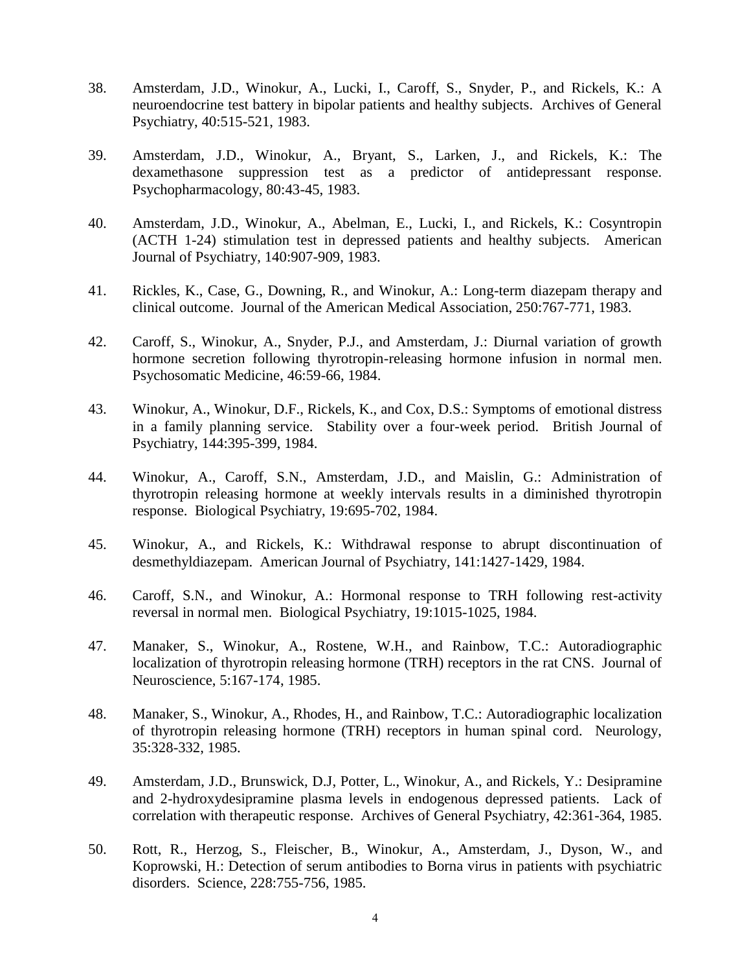- 38. Amsterdam, J.D., Winokur, A., Lucki, I., Caroff, S., Snyder, P., and Rickels, K.: A neuroendocrine test battery in bipolar patients and healthy subjects. Archives of General Psychiatry, 40:515-521, 1983.
- 39. Amsterdam, J.D., Winokur, A., Bryant, S., Larken, J., and Rickels, K.: The dexamethasone suppression test as a predictor of antidepressant response. Psychopharmacology, 80:43-45, 1983.
- 40. Amsterdam, J.D., Winokur, A., Abelman, E., Lucki, I., and Rickels, K.: Cosyntropin (ACTH 1-24) stimulation test in depressed patients and healthy subjects. American Journal of Psychiatry, 140:907-909, 1983.
- 41. Rickles, K., Case, G., Downing, R., and Winokur, A.: Long-term diazepam therapy and clinical outcome. Journal of the American Medical Association, 250:767-771, 1983.
- 42. Caroff, S., Winokur, A., Snyder, P.J., and Amsterdam, J.: Diurnal variation of growth hormone secretion following thyrotropin-releasing hormone infusion in normal men. Psychosomatic Medicine, 46:59-66, 1984.
- 43. Winokur, A., Winokur, D.F., Rickels, K., and Cox, D.S.: Symptoms of emotional distress in a family planning service. Stability over a four-week period. British Journal of Psychiatry, 144:395-399, 1984.
- 44. Winokur, A., Caroff, S.N., Amsterdam, J.D., and Maislin, G.: Administration of thyrotropin releasing hormone at weekly intervals results in a diminished thyrotropin response. Biological Psychiatry, 19:695-702, 1984.
- 45. Winokur, A., and Rickels, K.: Withdrawal response to abrupt discontinuation of desmethyldiazepam. American Journal of Psychiatry, 141:1427-1429, 1984.
- 46. Caroff, S.N., and Winokur, A.: Hormonal response to TRH following rest-activity reversal in normal men. Biological Psychiatry, 19:1015-1025, 1984.
- 47. Manaker, S., Winokur, A., Rostene, W.H., and Rainbow, T.C.: Autoradiographic localization of thyrotropin releasing hormone (TRH) receptors in the rat CNS. Journal of Neuroscience, 5:167-174, 1985.
- 48. Manaker, S., Winokur, A., Rhodes, H., and Rainbow, T.C.: Autoradiographic localization of thyrotropin releasing hormone (TRH) receptors in human spinal cord. Neurology, 35:328-332, 1985.
- 49. Amsterdam, J.D., Brunswick, D.J, Potter, L., Winokur, A., and Rickels, Y.: Desipramine and 2-hydroxydesipramine plasma levels in endogenous depressed patients. Lack of correlation with therapeutic response. Archives of General Psychiatry, 42:361-364, 1985.
- 50. Rott, R., Herzog, S., Fleischer, B., Winokur, A., Amsterdam, J., Dyson, W., and Koprowski, H.: Detection of serum antibodies to Borna virus in patients with psychiatric disorders. Science, 228:755-756, 1985.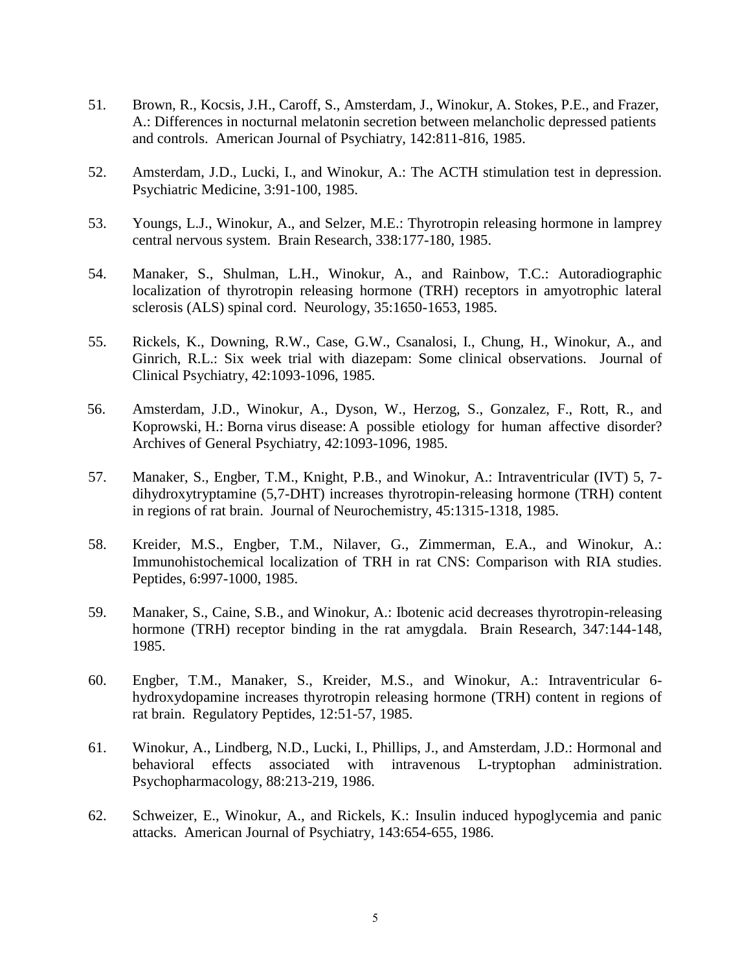- 51*.* Brown, R., Kocsis, J.H., Caroff, S., Amsterdam, J., Winokur, A. Stokes, P.E., and Frazer, A.: Differences in nocturnal melatonin secretion between melancholic depressed patients and controls. American Journal of Psychiatry, 142:811-816, 1985.
- 52. Amsterdam, J.D., Lucki, I., and Winokur, A.: The ACTH stimulation test in depression. Psychiatric Medicine, 3:91-100, 1985.
- 53. Youngs, L.J., Winokur, A., and Selzer, M.E.: Thyrotropin releasing hormone in lamprey central nervous system. Brain Research, 338:177-180, 1985.
- 54. Manaker, S., Shulman, L.H., Winokur, A., and Rainbow, T.C.: Autoradiographic localization of thyrotropin releasing hormone (TRH) receptors in amyotrophic lateral sclerosis (ALS) spinal cord. Neurology, 35:1650-1653, 1985.
- 55. Rickels, K., Downing, R.W., Case, G.W., Csanalosi, I., Chung, H., Winokur, A., and Ginrich, R.L.: Six week trial with diazepam: Some clinical observations. Journal of Clinical Psychiatry, 42:1093-1096, 1985.
- 56. Amsterdam, J.D., Winokur, A., Dyson, W., Herzog, S., Gonzalez, F., Rott, R., and Koprowski, H.: Borna virus disease: A possible etiology for human affective disorder? Archives of General Psychiatry, 42:1093-1096, 1985.
- 57. Manaker, S., Engber, T.M., Knight, P.B., and Winokur, A.: Intraventricular (IVT) 5, 7 dihydroxytryptamine (5,7-DHT) increases thyrotropin-releasing hormone (TRH) content in regions of rat brain. Journal of Neurochemistry, 45:1315-1318, 1985.
- 58. Kreider, M.S., Engber, T.M., Nilaver, G., Zimmerman, E.A., and Winokur, A.: Immunohistochemical localization of TRH in rat CNS: Comparison with RIA studies. Peptides, 6:997-1000, 1985.
- 59. Manaker, S., Caine, S.B., and Winokur, A.: Ibotenic acid decreases thyrotropin-releasing hormone (TRH) receptor binding in the rat amygdala. Brain Research, 347:144-148, 1985.
- 60. Engber, T.M., Manaker, S., Kreider, M.S., and Winokur, A.: Intraventricular 6 hydroxydopamine increases thyrotropin releasing hormone (TRH) content in regions of rat brain. Regulatory Peptides, 12:51-57, 1985.
- 61. Winokur, A., Lindberg, N.D., Lucki, I., Phillips, J., and Amsterdam, J.D.: Hormonal and behavioral effects associated with intravenous L-tryptophan administration. Psychopharmacology, 88:213-219, 1986.
- 62. Schweizer, E., Winokur, A., and Rickels, K.: Insulin induced hypoglycemia and panic attacks. American Journal of Psychiatry, 143:654-655, 1986.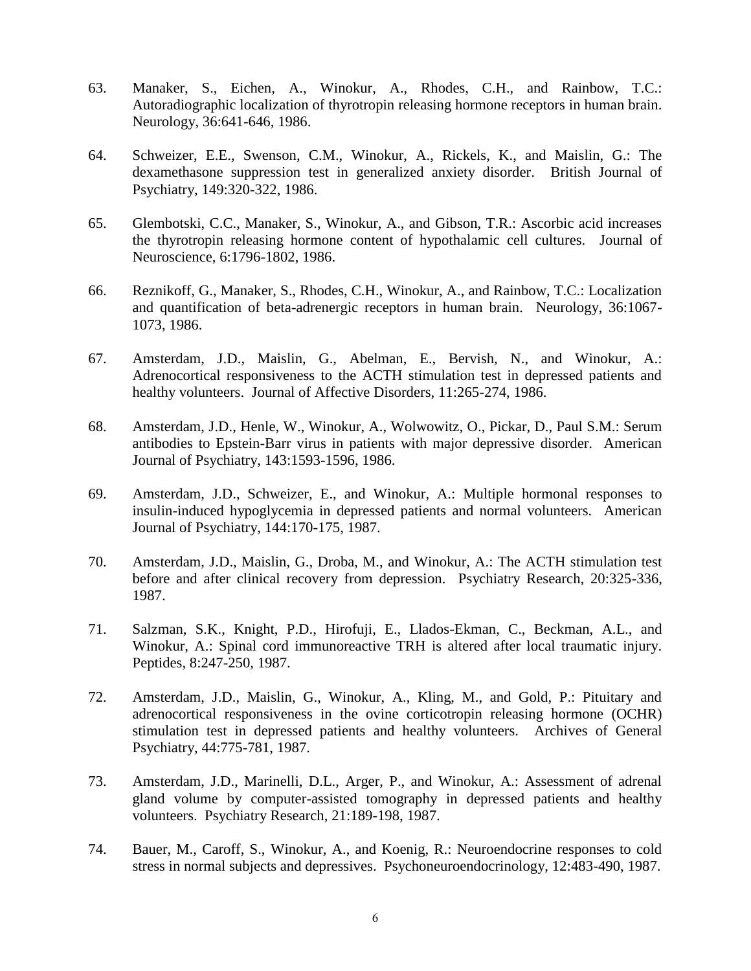- 63. Manaker, S., Eichen, A., Winokur, A., Rhodes, C.H., and Rainbow, T.C.: Autoradiographic localization of thyrotropin releasing hormone receptors in human brain. Neurology, 36:641-646, 1986.
- 64. Schweizer, E.E., Swenson, C.M., Winokur, A., Rickels, K., and Maislin, G.: The dexamethasone suppression test in generalized anxiety disorder. British Journal of Psychiatry, 149:320-322, 1986.
- 65. Glembotski, C.C., Manaker, S., Winokur, A., and Gibson, T.R.: Ascorbic acid increases the thyrotropin releasing hormone content of hypothalamic cell cultures. Journal of Neuroscience, 6:1796-1802, 1986.
- 66. Reznikoff, G., Manaker, S., Rhodes, C.H., Winokur, A., and Rainbow, T.C.: Localization and quantification of beta-adrenergic receptors in human brain. Neurology, 36:1067- 1073, 1986.
- 67. Amsterdam, J.D., Maislin, G., Abelman, E., Bervish, N., and Winokur, A.: Adrenocortical responsiveness to the ACTH stimulation test in depressed patients and healthy volunteers. Journal of Affective Disorders, 11:265-274, 1986.
- 68. Amsterdam, J.D., Henle, W., Winokur, A., Wolwowitz, O., Pickar, D., Paul S.M.: Serum antibodies to Epstein-Barr virus in patients with major depressive disorder. American Journal of Psychiatry, 143:1593-1596, 1986.
- 69. Amsterdam, J.D., Schweizer, E., and Winokur, A.: Multiple hormonal responses to insulin-induced hypoglycemia in depressed patients and normal volunteers. American Journal of Psychiatry, 144:170-175, 1987.
- 70. Amsterdam, J.D., Maislin, G., Droba, M., and Winokur, A.: The ACTH stimulation test before and after clinical recovery from depression. Psychiatry Research, 20:325-336, 1987.
- 71. Salzman, S.K., Knight, P.D., Hirofuji, E., Llados-Ekman, C., Beckman, A.L., and Winokur, A.: Spinal cord immunoreactive TRH is altered after local traumatic injury. Peptides, 8:247-250, 1987.
- 72. Amsterdam, J.D., Maislin, G., Winokur, A., Kling, M., and Gold, P.: Pituitary and adrenocortical responsiveness in the ovine corticotropin releasing hormone (OCHR) stimulation test in depressed patients and healthy volunteers. Archives of General Psychiatry, 44:775-781, 1987.
- 73. Amsterdam, J.D., Marinelli, D.L., Arger, P., and Winokur, A.: Assessment of adrenal gland volume by computer-assisted tomography in depressed patients and healthy volunteers. Psychiatry Research, 21:189-198, 1987.
- 74. Bauer, M., Caroff, S., Winokur, A., and Koenig, R.: Neuroendocrine responses to cold stress in normal subjects and depressives. Psychoneuroendocrinology, 12:483-490, 1987.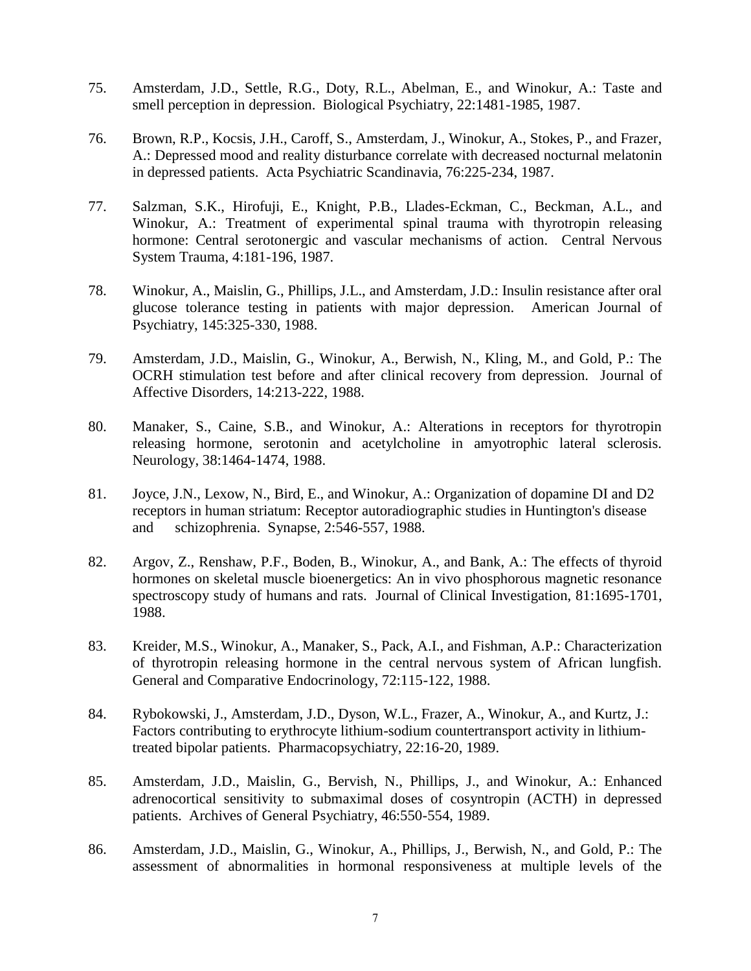- 75. Amsterdam, J.D., Settle, R.G., Doty, R.L., Abelman, E., and Winokur, A.: Taste and smell perception in depression. Biological Psychiatry, 22:1481-1985, 1987.
- 76. Brown, R.P., Kocsis, J.H., Caroff, S., Amsterdam, J., Winokur, A., Stokes, P., and Frazer, A.: Depressed mood and reality disturbance correlate with decreased nocturnal melatonin in depressed patients. Acta Psychiatric Scandinavia, 76:225-234, 1987.
- 77. Salzman, S.K., Hirofuji, E., Knight, P.B., Llades-Eckman, C., Beckman, A.L., and Winokur, A.: Treatment of experimental spinal trauma with thyrotropin releasing hormone: Central serotonergic and vascular mechanisms of action. Central Nervous System Trauma, 4:181-196, 1987.
- 78. Winokur, A., Maislin, G., Phillips, J.L., and Amsterdam, J.D.: Insulin resistance after oral glucose tolerance testing in patients with major depression. American Journal of Psychiatry, 145:325-330, 1988.
- 79. Amsterdam, J.D., Maislin, G., Winokur, A., Berwish, N., Kling, M., and Gold, P.: The OCRH stimulation test before and after clinical recovery from depression. Journal of Affective Disorders, 14:213-222, 1988.
- 80. Manaker, S., Caine, S.B., and Winokur, A.: Alterations in receptors for thyrotropin releasing hormone, serotonin and acetylcholine in amyotrophic lateral sclerosis. Neurology, 38:1464-1474, 1988.
- 81. Joyce, J.N., Lexow, N., Bird, E., and Winokur, A.: Organization of dopamine DI and D2 receptors in human striatum: Receptor autoradiographic studies in Huntington's disease and schizophrenia. Synapse, 2:546-557, 1988.
- 82. Argov, Z., Renshaw, P.F., Boden, B., Winokur, A., and Bank, A.: The effects of thyroid hormones on skeletal muscle bioenergetics: An in vivo phosphorous magnetic resonance spectroscopy study of humans and rats. Journal of Clinical Investigation, 81:1695-1701, 1988.
- 83. Kreider, M.S., Winokur, A., Manaker, S., Pack, A.I., and Fishman, A.P.: Characterization of thyrotropin releasing hormone in the central nervous system of African lungfish. General and Comparative Endocrinology, 72:115-122, 1988.
- 84. Rybokowski, J., Amsterdam, J.D., Dyson, W.L., Frazer, A., Winokur, A., and Kurtz, J.: Factors contributing to erythrocyte lithium-sodium countertransport activity in lithiumtreated bipolar patients. Pharmacopsychiatry, 22:16-20, 1989.
- 85. Amsterdam, J.D., Maislin, G., Bervish, N., Phillips, J., and Winokur, A.: Enhanced adrenocortical sensitivity to submaximal doses of cosyntropin (ACTH) in depressed patients. Archives of General Psychiatry, 46:550-554, 1989.
- 86. Amsterdam, J.D., Maislin, G., Winokur, A., Phillips, J., Berwish, N., and Gold, P.: The assessment of abnormalities in hormonal responsiveness at multiple levels of the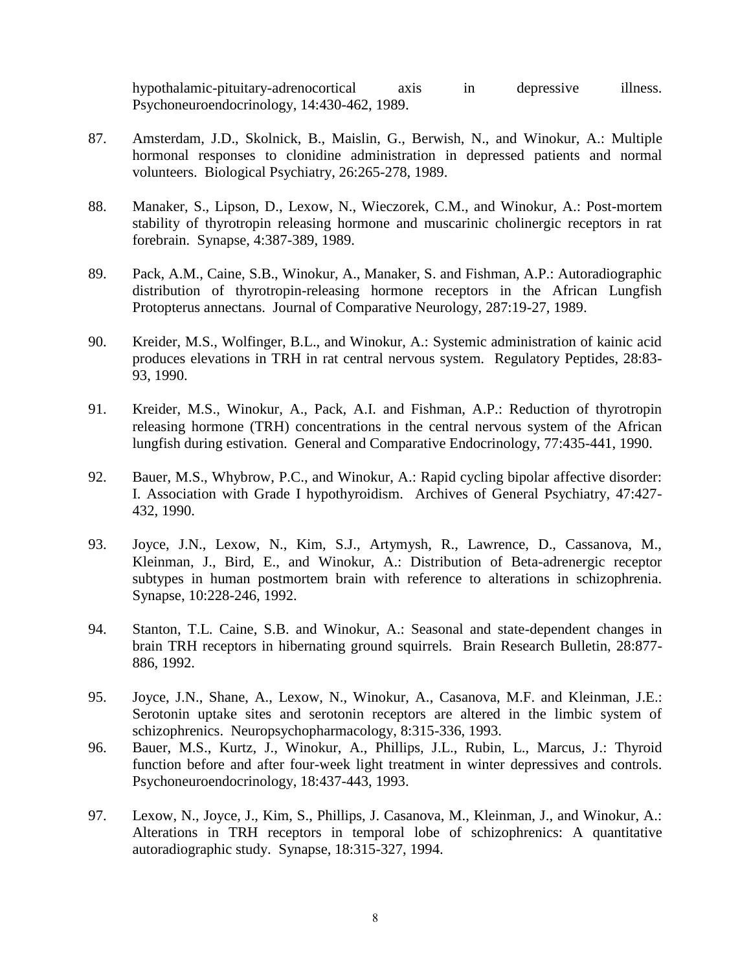hypothalamic-pituitary-adrenocortical axis in depressive illness. Psychoneuroendocrinology, 14:430-462, 1989.

- 87. Amsterdam, J.D., Skolnick, B., Maislin, G., Berwish, N., and Winokur, A.: Multiple hormonal responses to clonidine administration in depressed patients and normal volunteers. Biological Psychiatry, 26:265-278, 1989.
- 88. Manaker, S., Lipson, D., Lexow, N., Wieczorek, C.M., and Winokur, A.: Post-mortem stability of thyrotropin releasing hormone and muscarinic cholinergic receptors in rat forebrain. Synapse, 4:387-389, 1989.
- 89. Pack, A.M., Caine, S.B., Winokur, A., Manaker, S. and Fishman, A.P.: Autoradiographic distribution of thyrotropin-releasing hormone receptors in the African Lungfish Protopterus annectans. Journal of Comparative Neurology, 287:19-27, 1989.
- 90. Kreider, M.S., Wolfinger, B.L., and Winokur, A.: Systemic administration of kainic acid produces elevations in TRH in rat central nervous system. Regulatory Peptides, 28:83- 93, 1990.
- 91. Kreider, M.S., Winokur, A., Pack, A.I. and Fishman, A.P.: Reduction of thyrotropin releasing hormone (TRH) concentrations in the central nervous system of the African lungfish during estivation. General and Comparative Endocrinology, 77:435-441, 1990.
- 92. Bauer, M.S., Whybrow, P.C., and Winokur, A.: Rapid cycling bipolar affective disorder: I. Association with Grade I hypothyroidism. Archives of General Psychiatry, 47:427- 432, 1990.
- 93. Joyce, J.N., Lexow, N., Kim, S.J., Artymysh, R., Lawrence, D., Cassanova, M., Kleinman, J., Bird, E., and Winokur, A.: Distribution of Beta-adrenergic receptor subtypes in human postmortem brain with reference to alterations in schizophrenia. Synapse, 10:228-246, 1992.
- 94. Stanton, T.L. Caine, S.B. and Winokur, A.: Seasonal and state-dependent changes in brain TRH receptors in hibernating ground squirrels. Brain Research Bulletin, 28:877- 886, 1992.
- 95. Joyce, J.N., Shane, A., Lexow, N., Winokur, A., Casanova, M.F. and Kleinman, J.E.: Serotonin uptake sites and serotonin receptors are altered in the limbic system of schizophrenics. Neuropsychopharmacology, 8:315-336, 1993.
- 96. Bauer, M.S., Kurtz, J., Winokur, A., Phillips, J.L., Rubin, L., Marcus, J.: Thyroid function before and after four-week light treatment in winter depressives and controls. Psychoneuroendocrinology, 18:437-443, 1993.
- 97. Lexow, N., Joyce, J., Kim, S., Phillips, J. Casanova, M., Kleinman, J., and Winokur, A.: Alterations in TRH receptors in temporal lobe of schizophrenics: A quantitative autoradiographic study. Synapse, 18:315-327, 1994.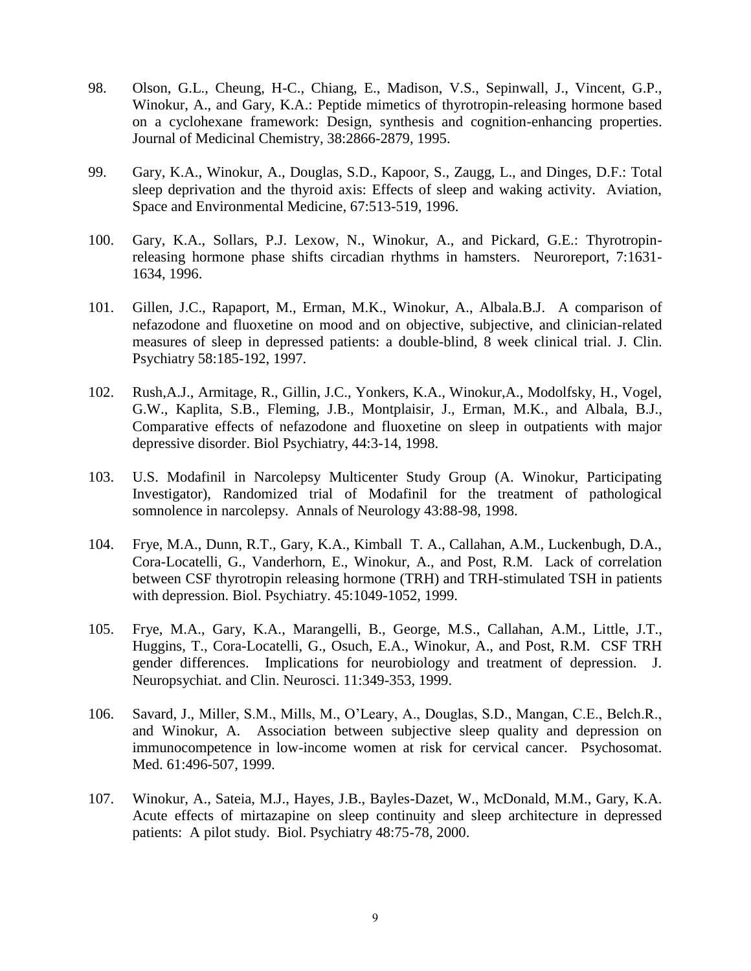- 98. Olson, G.L., Cheung, H-C., Chiang, E., Madison, V.S., Sepinwall, J., Vincent, G.P., Winokur, A., and Gary, K.A.: Peptide mimetics of thyrotropin-releasing hormone based on a cyclohexane framework: Design, synthesis and cognition-enhancing properties. Journal of Medicinal Chemistry, 38:2866-2879, 1995.
- 99. Gary, K.A., Winokur, A., Douglas, S.D., Kapoor, S., Zaugg, L., and Dinges, D.F.: Total sleep deprivation and the thyroid axis: Effects of sleep and waking activity. Aviation, Space and Environmental Medicine, 67:513-519, 1996.
- 100. Gary, K.A., Sollars, P.J. Lexow, N., Winokur, A., and Pickard, G.E.: Thyrotropinreleasing hormone phase shifts circadian rhythms in hamsters. Neuroreport, 7:1631- 1634, 1996.
- 101. Gillen, J.C., Rapaport, M., Erman, M.K., Winokur, A., Albala.B.J. A comparison of nefazodone and fluoxetine on mood and on objective, subjective, and clinician-related measures of sleep in depressed patients: a double-blind, 8 week clinical trial. J. Clin. Psychiatry 58:185-192, 1997.
- 102. Rush,A.J., Armitage, R., Gillin, J.C., Yonkers, K.A., Winokur,A., Modolfsky, H., Vogel, G.W., Kaplita, S.B., Fleming, J.B., Montplaisir, J., Erman, M.K., and Albala, B.J., Comparative effects of nefazodone and fluoxetine on sleep in outpatients with major depressive disorder. Biol Psychiatry, 44:3-14, 1998.
- 103. U.S. Modafinil in Narcolepsy Multicenter Study Group (A. Winokur, Participating Investigator), Randomized trial of Modafinil for the treatment of pathological somnolence in narcolepsy. Annals of Neurology 43:88-98, 1998.
- 104. Frye, M.A., Dunn, R.T., Gary, K.A., Kimball T. A., Callahan, A.M., Luckenbugh, D.A., Cora-Locatelli, G., Vanderhorn, E., Winokur, A., and Post, R.M. Lack of correlation between CSF thyrotropin releasing hormone (TRH) and TRH-stimulated TSH in patients with depression. Biol. Psychiatry. 45:1049-1052, 1999.
- 105. Frye, M.A., Gary, K.A., Marangelli, B., George, M.S., Callahan, A.M., Little, J.T., Huggins, T., Cora-Locatelli, G., Osuch, E.A., Winokur, A., and Post, R.M. CSF TRH gender differences. Implications for neurobiology and treatment of depression. J. Neuropsychiat. and Clin. Neurosci. 11:349-353, 1999.
- 106. Savard, J., Miller, S.M., Mills, M., O'Leary, A., Douglas, S.D., Mangan, C.E., Belch.R., and Winokur, A. Association between subjective sleep quality and depression on immunocompetence in low-income women at risk for cervical cancer. Psychosomat. Med. 61:496-507, 1999.
- 107. Winokur, A., Sateia, M.J., Hayes, J.B., Bayles-Dazet, W., McDonald, M.M., Gary, K.A. Acute effects of mirtazapine on sleep continuity and sleep architecture in depressed patients: A pilot study. Biol. Psychiatry 48:75-78, 2000.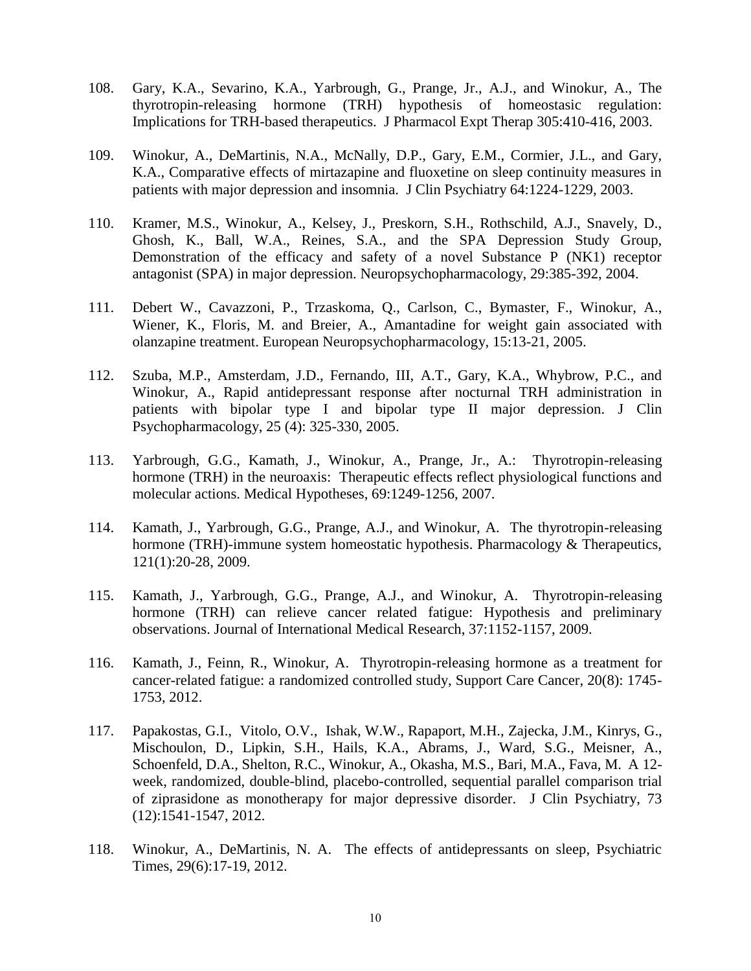- 108. Gary, K.A., Sevarino, K.A., Yarbrough, G., Prange, Jr., A.J., and Winokur, A., The thyrotropin-releasing hormone (TRH) hypothesis of homeostasic regulation: Implications for TRH-based therapeutics. J Pharmacol Expt Therap 305:410-416, 2003.
- 109. Winokur, A., DeMartinis, N.A., McNally, D.P., Gary, E.M., Cormier, J.L., and Gary, K.A., Comparative effects of mirtazapine and fluoxetine on sleep continuity measures in patients with major depression and insomnia. J Clin Psychiatry 64:1224-1229, 2003.
- 110. Kramer, M.S., Winokur, A., Kelsey, J., Preskorn, S.H., Rothschild, A.J., Snavely, D., Ghosh, K., Ball, W.A., Reines, S.A., and the SPA Depression Study Group, Demonstration of the efficacy and safety of a novel Substance P (NK1) receptor antagonist (SPA) in major depression. Neuropsychopharmacology, 29:385-392, 2004.
- 111. Debert W., Cavazzoni, P., Trzaskoma, Q., Carlson, C., Bymaster, F., Winokur, A., Wiener, K., Floris, M. and Breier, A., Amantadine for weight gain associated with olanzapine treatment. European Neuropsychopharmacology, 15:13-21, 2005.
- 112. Szuba, M.P., Amsterdam, J.D., Fernando, III, A.T., Gary, K.A., Whybrow, P.C., and Winokur, A., Rapid antidepressant response after nocturnal TRH administration in patients with bipolar type I and bipolar type II major depression. J Clin Psychopharmacology, 25 (4): 325-330, 2005.
- 113. Yarbrough, G.G., Kamath, J., Winokur, A., Prange, Jr., A.: Thyrotropin-releasing hormone (TRH) in the neuroaxis: Therapeutic effects reflect physiological functions and molecular actions. Medical Hypotheses, 69:1249-1256, 2007.
- 114. Kamath, J., Yarbrough, G.G., Prange, A.J., and Winokur, A. The thyrotropin-releasing hormone (TRH)-immune system homeostatic hypothesis. Pharmacology & Therapeutics, 121(1):20-28, 2009.
- 115. Kamath, J., Yarbrough, G.G., Prange, A.J., and Winokur, A. Thyrotropin-releasing hormone (TRH) can relieve cancer related fatigue: Hypothesis and preliminary observations. Journal of International Medical Research, 37:1152-1157, 2009.
- 116. Kamath, J., Feinn, R., Winokur, A. Thyrotropin-releasing hormone as a treatment for cancer-related fatigue: a randomized controlled study, Support Care Cancer, 20(8): 1745- 1753, 2012.
- 117. Papakostas, G.I., Vitolo, O.V., Ishak, W.W., Rapaport, M.H., Zajecka, J.M., Kinrys, G., Mischoulon, D., Lipkin, S.H., Hails, K.A., Abrams, J., Ward, S.G., Meisner, A., Schoenfeld, D.A., Shelton, R.C., Winokur, A., Okasha, M.S., Bari, M.A., Fava, M. A 12 week, randomized, double-blind, placebo-controlled, sequential parallel comparison trial of ziprasidone as monotherapy for major depressive disorder. J Clin Psychiatry, 73 (12):1541-1547, 2012.
- 118. Winokur, A., DeMartinis, N. A. The effects of antidepressants on sleep, Psychiatric Times, 29(6):17-19, 2012.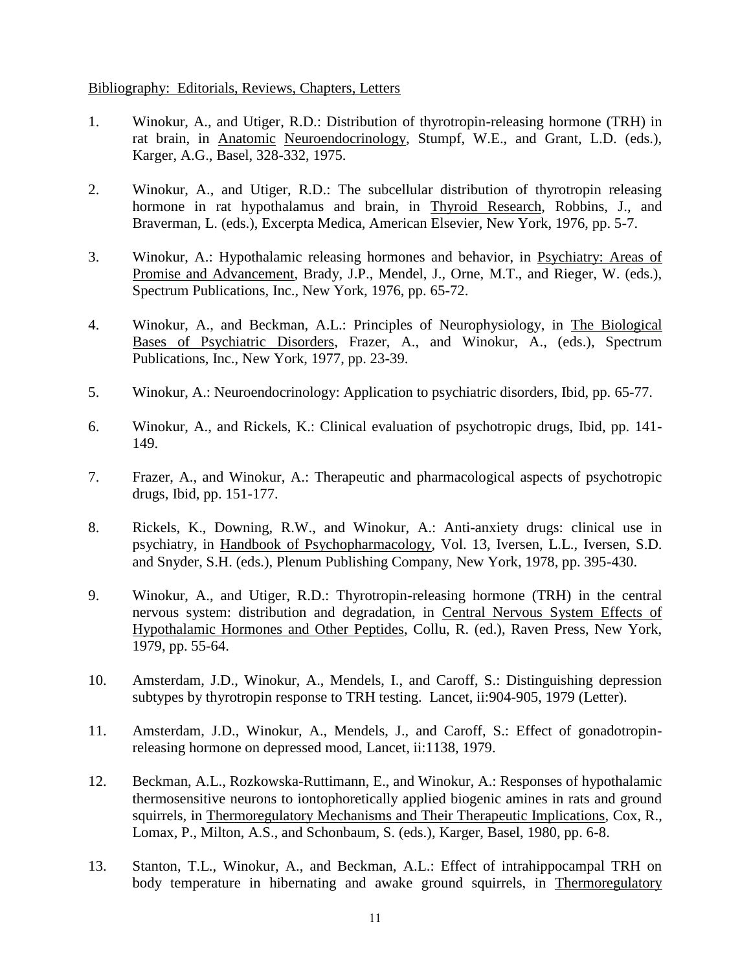## Bibliography: Editorials, Reviews, Chapters, Letters

- 1. Winokur, A., and Utiger, R.D.: Distribution of thyrotropin-releasing hormone (TRH) in rat brain, in Anatomic Neuroendocrinology, Stumpf, W.E., and Grant, L.D. (eds.), Karger, A.G., Basel, 328-332, 1975.
- 2. Winokur, A., and Utiger, R.D.: The subcellular distribution of thyrotropin releasing hormone in rat hypothalamus and brain, in Thyroid Research, Robbins, J., and Braverman, L. (eds.), Excerpta Medica, American Elsevier, New York, 1976, pp. 5-7.
- 3. Winokur, A.: Hypothalamic releasing hormones and behavior, in Psychiatry: Areas of Promise and Advancement, Brady, J.P., Mendel, J., Orne, M.T., and Rieger, W. (eds.), Spectrum Publications, Inc., New York, 1976, pp. 65-72.
- 4. Winokur, A., and Beckman, A.L.: Principles of Neurophysiology, in The Biological Bases of Psychiatric Disorders, Frazer, A., and Winokur, A., (eds.), Spectrum Publications, Inc., New York, 1977, pp. 23-39.
- 5. Winokur, A.: Neuroendocrinology: Application to psychiatric disorders, Ibid, pp. 65-77.
- 6. Winokur, A., and Rickels, K.: Clinical evaluation of psychotropic drugs, Ibid, pp. 141- 149.
- 7. Frazer, A., and Winokur, A.: Therapeutic and pharmacological aspects of psychotropic drugs, Ibid, pp. 151-177.
- 8. Rickels, K., Downing, R.W., and Winokur, A.: Anti-anxiety drugs: clinical use in psychiatry, in Handbook of Psychopharmacology, Vol. 13, Iversen, L.L., Iversen, S.D. and Snyder, S.H. (eds.), Plenum Publishing Company, New York, 1978, pp. 395-430.
- 9. Winokur, A., and Utiger, R.D.: Thyrotropin-releasing hormone (TRH) in the central nervous system: distribution and degradation, in Central Nervous System Effects of Hypothalamic Hormones and Other Peptides, Collu, R. (ed.), Raven Press, New York, 1979, pp. 55-64.
- 10. Amsterdam, J.D., Winokur, A., Mendels, I., and Caroff, S.: Distinguishing depression subtypes by thyrotropin response to TRH testing. Lancet, ii:904-905, 1979 (Letter).
- 11. Amsterdam, J.D., Winokur, A., Mendels, J., and Caroff, S.: Effect of gonadotropinreleasing hormone on depressed mood, Lancet, ii:1138, 1979.
- 12. Beckman, A.L., Rozkowska-Ruttimann, E., and Winokur, A.: Responses of hypothalamic thermosensitive neurons to iontophoretically applied biogenic amines in rats and ground squirrels, in Thermoregulatory Mechanisms and Their Therapeutic Implications, Cox, R., Lomax, P., Milton, A.S., and Schonbaum, S. (eds.), Karger, Basel, 1980, pp. 6-8.
- 13. Stanton, T.L., Winokur, A., and Beckman, A.L.: Effect of intrahippocampal TRH on body temperature in hibernating and awake ground squirrels, in Thermoregulatory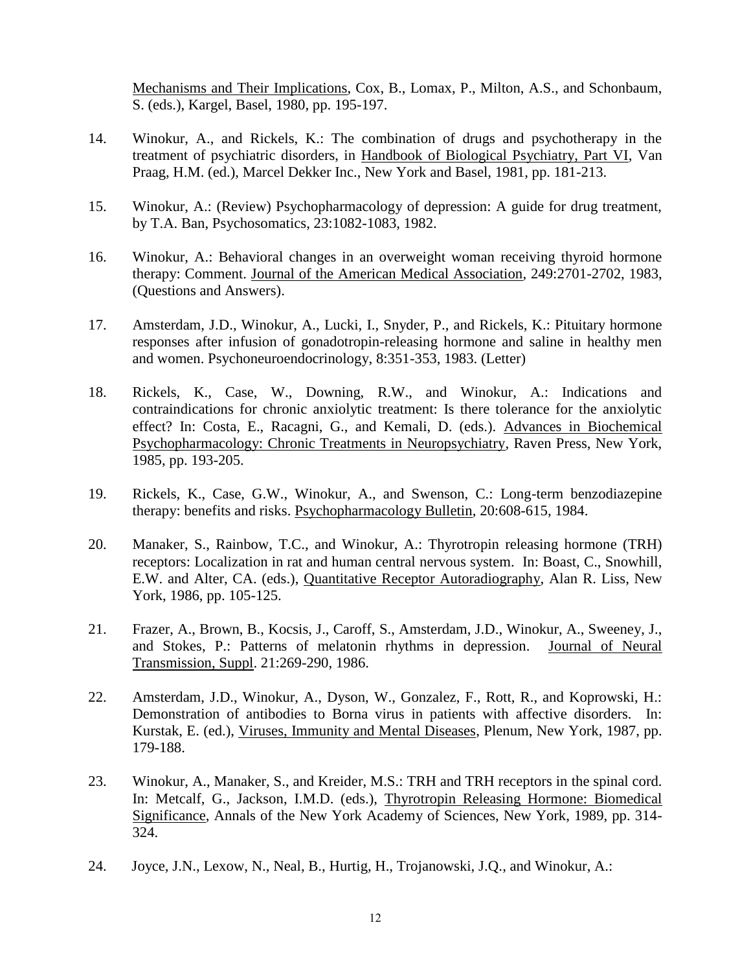Mechanisms and Their Implications, Cox, B., Lomax, P., Milton, A.S., and Schonbaum, S. (eds.), Kargel, Basel, 1980, pp. 195-197.

- 14. Winokur, A., and Rickels, K.: The combination of drugs and psychotherapy in the treatment of psychiatric disorders, in Handbook of Biological Psychiatry, Part VI, Van Praag, H.M. (ed.), Marcel Dekker Inc., New York and Basel, 1981, pp. 181-213.
- 15. Winokur, A.: (Review) Psychopharmacology of depression: A guide for drug treatment, by T.A. Ban, Psychosomatics, 23:1082-1083, 1982.
- 16. Winokur, A.: Behavioral changes in an overweight woman receiving thyroid hormone therapy: Comment. Journal of the American Medical Association, 249:2701-2702, 1983, (Questions and Answers).
- 17. Amsterdam, J.D., Winokur, A., Lucki, I., Snyder, P., and Rickels, K.: Pituitary hormone responses after infusion of gonadotropin-releasing hormone and saline in healthy men and women. Psychoneuroendocrinology, 8:351-353, 1983. (Letter)
- 18. Rickels, K., Case, W., Downing, R.W., and Winokur, A.: Indications and contraindications for chronic anxiolytic treatment: Is there tolerance for the anxiolytic effect? In: Costa, E., Racagni, G., and Kemali, D. (eds.). Advances in Biochemical Psychopharmacology: Chronic Treatments in Neuropsychiatry, Raven Press, New York, 1985, pp. 193-205.
- 19. Rickels, K., Case, G.W., Winokur, A., and Swenson, C.: Long-term benzodiazepine therapy: benefits and risks. Psychopharmacology Bulletin, 20:608-615, 1984.
- 20. Manaker, S., Rainbow, T.C., and Winokur, A.: Thyrotropin releasing hormone (TRH) receptors: Localization in rat and human central nervous system. In: Boast, C., Snowhill, E.W. and Alter, CA. (eds.), Quantitative Receptor Autoradiography, Alan R. Liss, New York, 1986, pp. 105-125.
- 21. Frazer, A., Brown, B., Kocsis, J., Caroff, S., Amsterdam, J.D., Winokur, A., Sweeney, J., and Stokes, P.: Patterns of melatonin rhythms in depression. Journal of Neural Transmission, Suppl. 21:269-290, 1986.
- 22. Amsterdam, J.D., Winokur, A., Dyson, W., Gonzalez, F., Rott, R., and Koprowski, H.: Demonstration of antibodies to Borna virus in patients with affective disorders. In: Kurstak, E. (ed.), Viruses, Immunity and Mental Diseases, Plenum, New York, 1987, pp. 179-188.
- 23. Winokur, A., Manaker, S., and Kreider, M.S.: TRH and TRH receptors in the spinal cord. In: Metcalf, G., Jackson, I.M.D. (eds.), Thyrotropin Releasing Hormone: Biomedical Significance, Annals of the New York Academy of Sciences, New York, 1989, pp. 314- 324.
- 24. Joyce, J.N., Lexow, N., Neal, B., Hurtig, H., Trojanowski, J.Q., and Winokur, A.: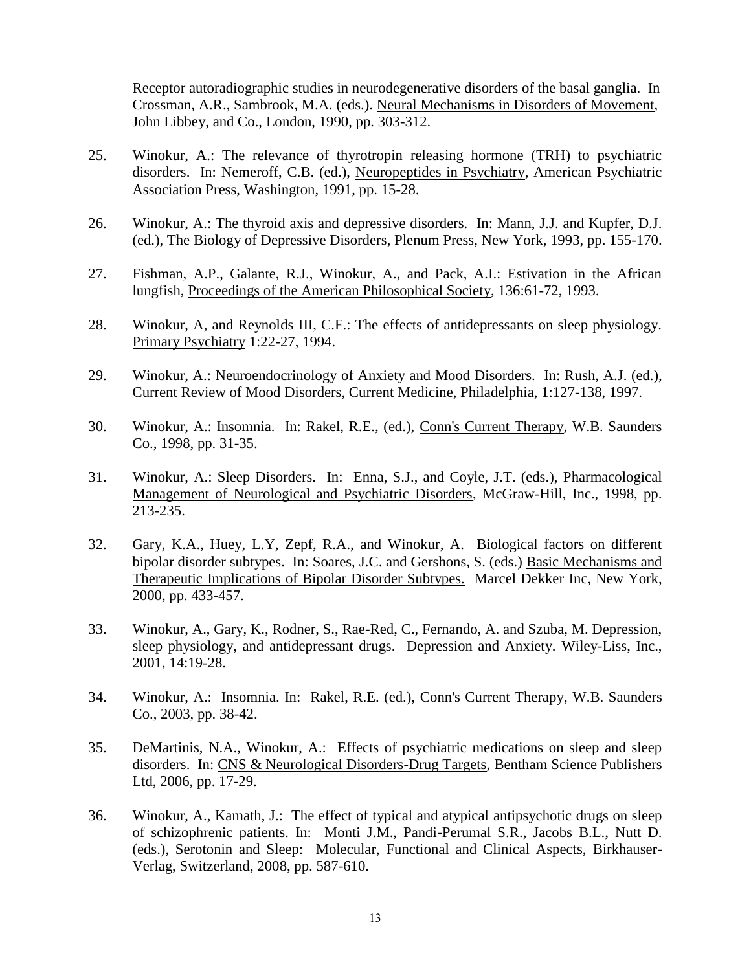Receptor autoradiographic studies in neurodegenerative disorders of the basal ganglia. In Crossman, A.R., Sambrook, M.A. (eds.). Neural Mechanisms in Disorders of Movement, John Libbey, and Co., London, 1990, pp. 303-312.

- 25. Winokur, A.: The relevance of thyrotropin releasing hormone (TRH) to psychiatric disorders. In: Nemeroff, C.B. (ed.), Neuropeptides in Psychiatry, American Psychiatric Association Press, Washington, 1991, pp. 15-28.
- 26. Winokur, A.: The thyroid axis and depressive disorders. In: Mann, J.J. and Kupfer, D.J. (ed.), The Biology of Depressive Disorders, Plenum Press, New York, 1993, pp. 155-170.
- 27. Fishman, A.P., Galante, R.J., Winokur, A., and Pack, A.I.: Estivation in the African lungfish, Proceedings of the American Philosophical Society, 136:61-72, 1993.
- 28. Winokur, A, and Reynolds III, C.F.: The effects of antidepressants on sleep physiology. Primary Psychiatry 1:22-27, 1994.
- 29. Winokur, A.: Neuroendocrinology of Anxiety and Mood Disorders. In: Rush, A.J. (ed.), Current Review of Mood Disorders, Current Medicine, Philadelphia, 1:127-138, 1997.
- 30. Winokur, A.: Insomnia. In: Rakel, R.E., (ed.), Conn's Current Therapy, W.B. Saunders Co., 1998, pp. 31-35.
- 31. Winokur, A.: Sleep Disorders. In: Enna, S.J., and Coyle, J.T. (eds.), Pharmacological Management of Neurological and Psychiatric Disorders, McGraw-Hill, Inc., 1998, pp. 213-235.
- 32. Gary, K.A., Huey, L.Y, Zepf, R.A., and Winokur, A. Biological factors on different bipolar disorder subtypes. In: Soares, J.C. and Gershons, S. (eds.) Basic Mechanisms and Therapeutic Implications of Bipolar Disorder Subtypes. Marcel Dekker Inc, New York, 2000, pp. 433-457.
- 33. Winokur, A., Gary, K., Rodner, S., Rae-Red, C., Fernando, A. and Szuba, M. Depression, sleep physiology, and antidepressant drugs. Depression and Anxiety. Wiley-Liss, Inc., 2001, 14:19-28.
- 34. Winokur, A.: Insomnia. In: Rakel, R.E. (ed.), Conn's Current Therapy, W.B. Saunders Co., 2003, pp. 38-42.
- 35. DeMartinis, N.A., Winokur, A.: Effects of psychiatric medications on sleep and sleep disorders. In: CNS & Neurological Disorders-Drug Targets, Bentham Science Publishers Ltd, 2006, pp. 17-29.
- 36. Winokur, A., Kamath, J.: The effect of typical and atypical antipsychotic drugs on sleep of schizophrenic patients. In: Monti J.M., Pandi-Perumal S.R., Jacobs B.L., Nutt D. (eds.), Serotonin and Sleep: Molecular, Functional and Clinical Aspects, Birkhauser-Verlag, Switzerland, 2008, pp. 587-610.